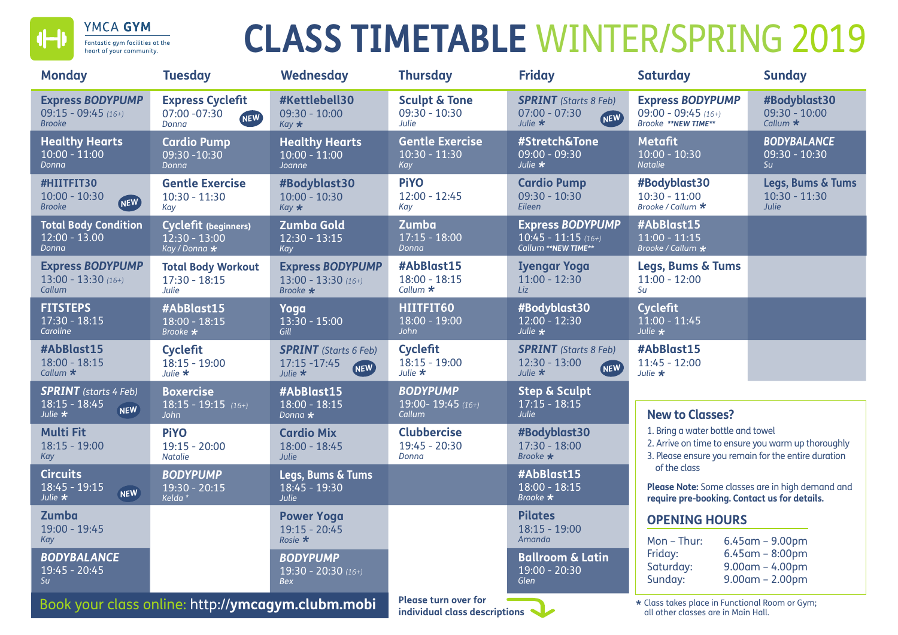

# **CLASS TIMETABLE** WINTER/SPRING 2019

| <b>Monday</b>                                                     | <b>Tuesday</b>                                                  | Wednesday                                                                    | <b>Thursday</b>                                                               | <b>Friday</b>                                                                                  | <b>Saturday</b>                                                                                                                                | <b>Sunday</b>                                                  |
|-------------------------------------------------------------------|-----------------------------------------------------------------|------------------------------------------------------------------------------|-------------------------------------------------------------------------------|------------------------------------------------------------------------------------------------|------------------------------------------------------------------------------------------------------------------------------------------------|----------------------------------------------------------------|
| <b>Express BODYPUMP</b><br>09:15 - 09:45 $(16+)$<br><b>Brooke</b> | <b>Express Cyclefit</b><br>07:00 -07:30<br><b>NEW</b><br>Donna  | #Kettlebell30<br>$09:30 - 10:00$<br>$Kay \star$                              | <b>Sculpt &amp; Tone</b><br>$09:30 - 10:30$<br>Julie                          | <b>SPRINT</b> (Starts 8 Feb)<br>$07:00 - 07:30$<br>NEW<br>Julie $\star$                        | <b>Express BODYPUMP</b><br>09:00 - 09:45 $(16+)$<br>Brooke **NEW TIME**                                                                        | #Bodyblast30<br>$09:30 - 10:00$<br>Callum $\star$              |
| <b>Healthy Hearts</b><br>$10:00 - 11:00$<br>Donna                 | <b>Cardio Pump</b><br>09:30 -10:30<br>Donna                     | <b>Healthy Hearts</b><br>$10:00 - 11:00$<br>Joanne                           | <b>Gentle Exercise</b><br>$10:30 - 11:30$<br>Kay                              | #Stretch&Tone<br>$09:00 - 09:30$<br>Julie $\star$                                              | <b>Metafit</b><br>$10:00 - 10:30$<br><b>Natalie</b>                                                                                            | <b>BODYBALANCE</b><br>$09:30 - 10:30$<br>Su                    |
| #HIITFIT30<br>$10:00 - 10:30$<br>NEW<br><b>Brooke</b>             | <b>Gentle Exercise</b><br>$10:30 - 11:30$<br>Kay                | #Bodyblast30<br>$10:00 - 10:30$<br>$Kay \star$                               | <b>PiYO</b><br>$12:00 - 12:45$<br>Kay                                         | <b>Cardio Pump</b><br>$09:30 - 10:30$<br>Eileen                                                | #Bodyblast30<br>$10:30 - 11:00$<br>Brooke / Callum *                                                                                           | Legs, Bums & Tums<br>$10:30 - 11:30$<br>Julie                  |
| <b>Total Body Condition</b><br>$12:00 - 13.00$<br>Donna           | <b>Cyclefit (beginners)</b><br>$12:30 - 13:00$<br>Kay / Donna * | <b>Zumba Gold</b><br>$12:30 - 13:15$<br>Kay                                  | Zumba<br>$17:15 - 18:00$<br>Donna                                             | <b>Express BODYPUMP</b><br>$\overline{10:}45 - \overline{11:}15$ (16+)<br>Callum ** NEW TIME** | #AbBlast15<br>$11:00 - 11:15$<br>Brooke / Callum *                                                                                             |                                                                |
| <b>Express BODYPUMP</b><br>$13:00 - 13:30(16+)$<br>Callum         | <b>Total Body Workout</b><br>$17:30 - 18:15$<br>Julie           | <b>Express BODYPUMP</b><br>$13:00 - 13:30(16+)$<br>Brooke $\star$            | #AbBlast15<br>$18:00 - 18:15$<br>Callum $\star$                               | <b>Iyengar Yoga</b><br>$11:00 - 12:30$<br>Liz                                                  | <b>Legs, Bums &amp; Tums</b><br>$11:00 - 12:00$<br>Su                                                                                          |                                                                |
| <b>FITSTEPS</b><br>$17:30 - 18:15$<br>Caroline                    | #AbBlast15<br>$18:00 - 18:15$<br>Brooke *                       | Yoga<br>$13:30 - 15:00$<br>Gill                                              | HIITFIT60<br>$18:00 - 19:00$<br>John                                          | #Bodyblast30<br>$12:00 - 12:30$<br>Julie $\star$                                               | <b>Cyclefit</b><br>$11:00 - 11:45$<br>Julie *                                                                                                  |                                                                |
| #AbBlast15<br>$18:00 - 18:15$<br>Callum $\star$                   | <b>Cyclefit</b><br>$18:15 - 19:00$<br>Julie $\star$             | <b>SPRINT</b> (Starts 6 Feb)<br>17:15 - 17:45<br><b>NEW</b><br>Julie $\star$ | <b>Cyclefit</b><br>$18:15 - 19:00$<br>Julie $\star$                           | <b>SPRINT</b> (Starts 8 Feb)<br>$12:30 - 13:00$<br>NEW<br>Julie $\star$                        | #AbBlast15<br>$11:45 - 12:00$<br>Julie $\bigstar$                                                                                              |                                                                |
| <b>SPRINT</b> (starts 4 Feb)<br>$18:15 - 18:45$                   | <b>Boxercise</b><br>$18:15 - 19:15$ (16+)                       | #AbBlast15<br>$18:00 - 18:15$                                                | <b>BODYPUMP</b><br>19:00-19:45 (16+)                                          | <b>Step &amp; Sculpt</b><br>$17:15 - 18:15$                                                    |                                                                                                                                                |                                                                |
| <b>NEW</b><br>Julie $\star$                                       | John                                                            | Donna $\star$                                                                | Callum                                                                        | Julie                                                                                          | <b>New to Classes?</b>                                                                                                                         |                                                                |
| <b>Multi Fit</b><br>$18:15 - 19:00$<br>Kay                        | <b>PiYO</b><br>$19:15 - 20:00$<br><b>Natalie</b>                | <b>Cardio Mix</b><br>$18:00 - 18:45$<br><b>Julie</b>                         | <b>Clubbercise</b><br>$19:45 - 20:30$<br>Donna                                | #Bodyblast30<br>$17:30 - 18:00$<br>Brooke $\star$                                              | 1. Bring a water bottle and towel<br>2. Arrive on time to ensure you warm up thoroughly<br>3. Please ensure you remain for the entire duration |                                                                |
| <b>Circuits</b><br>18:45 - 19:15<br><b>NEW</b><br>Julie $\star$   | <b>BODYPUMP</b><br>$19:30 - 20:15$<br>Kelda *                   | Legs, Bums & Tums<br>$18:45 - 19:30$<br>Julie                                |                                                                               | #AbBlast15<br>$18:00 - 18:15$<br>Brooke *                                                      | of the class<br>Please Note: Some classes are in high demand and<br>require pre-booking. Contact us for details.                               |                                                                |
| Zumba<br>19:00 - 19:45<br>Kay                                     |                                                                 | <b>Power Yoga</b><br>$19:15 - 20:45$<br>Rosie $\star$                        |                                                                               | <b>Pilates</b><br>$18:15 - 19:00$<br>Amanda                                                    | <b>OPENING HOURS</b><br>Mon - Thur:                                                                                                            | $6.45$ am - 9.00pm                                             |
| <b>BODYBALANCE</b><br>$\overline{19:}45 - 20:45$<br>Su            |                                                                 | <b>BODYPUMP</b><br>$19:30 - 20:30(16+)$<br><b>Bex</b>                        |                                                                               | <b>Ballroom &amp; Latin</b><br>$19:00 - 20:30$<br>Glen                                         | Friday:<br>Saturday:<br>Sunday:                                                                                                                | $6.45$ am - 8:00pm<br>$9.00$ am - 4.00pm<br>$9.00$ am - 2.00pm |
| Book your class online: http://ymcagym.clubm.mobi                 |                                                                 |                                                                              | <b>Please turn over for</b><br>individual class descriptions $\blacktriangle$ |                                                                                                | * Class takes place in Functional Room or Gym;<br>all other classes are in Main Hall.                                                          |                                                                |